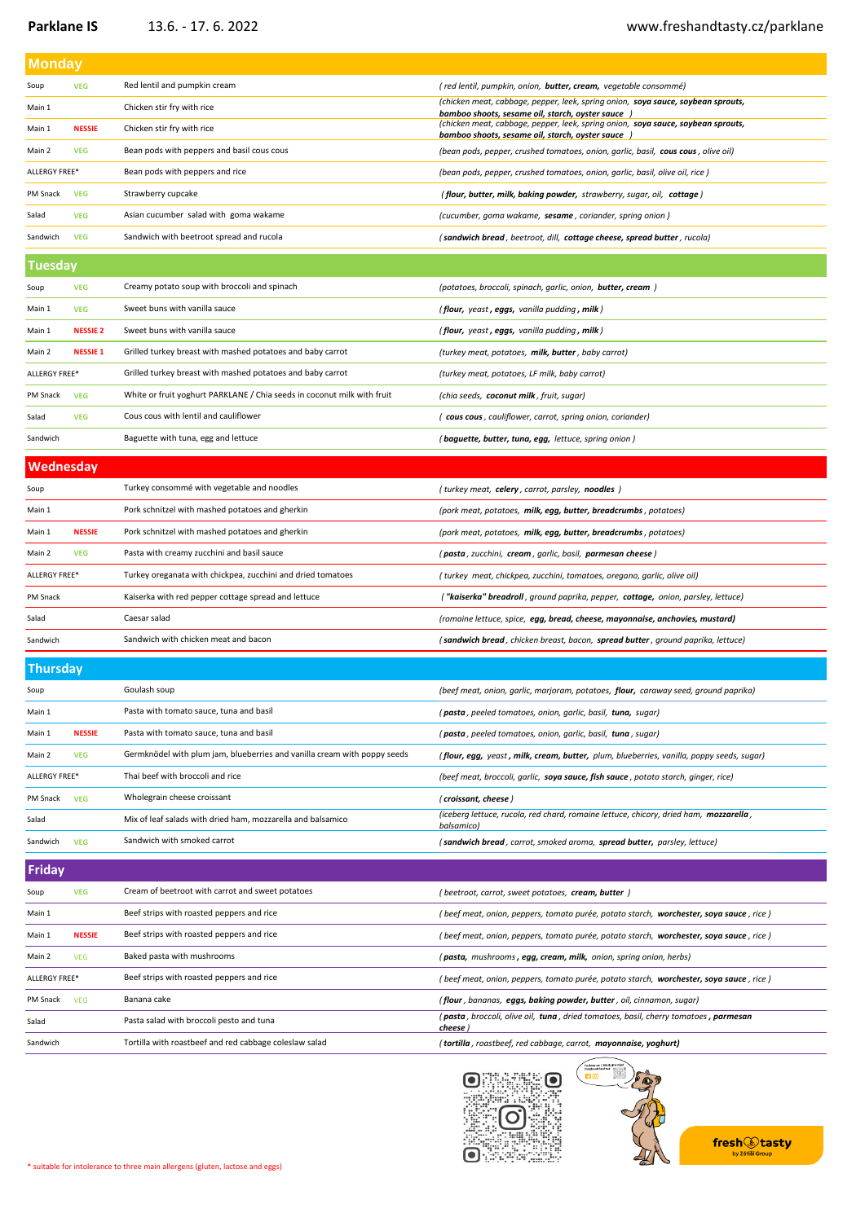## [www.freshandtasty.cz/pa](http://www.freshandtasty.cz/parklane)rklane

| <b>Monday</b>   |                 |                                                                          |                                                                                                                                       |  |  |
|-----------------|-----------------|--------------------------------------------------------------------------|---------------------------------------------------------------------------------------------------------------------------------------|--|--|
| Soup            | <b>VEG</b>      | Red lentil and pumpkin cream                                             | (red lentil, pumpkin, onion, <b>butter, cream,</b> vegetable consommé)                                                                |  |  |
| Main 1          |                 | Chicken stir fry with rice                                               | (chicken meat, cabbage, pepper, leek, spring onion, soya sauce, soybean sprouts,<br>bamboo shoots, sesame oil, starch, oyster sauce ) |  |  |
| Main 1          | <b>NESSIE</b>   | Chicken stir fry with rice                                               | (chicken meat, cabbage, pepper, leek, spring onion, soya sauce, soybean sprouts,<br>bamboo shoots, sesame oil, starch, oyster sauce ) |  |  |
| Main 2          | <b>VEG</b>      | Bean pods with peppers and basil cous cous                               | (bean pods, pepper, crushed tomatoes, onion, garlic, basil, cous cous, olive oil)                                                     |  |  |
| ALLERGY FREE*   |                 | Bean pods with peppers and rice                                          | (bean pods, pepper, crushed tomatoes, onion, garlic, basil, olive oil, rice)                                                          |  |  |
| PM Snack        | <b>VEG</b>      | Strawberry cupcake                                                       | (flour, butter, milk, baking powder, strawberry, sugar, oil, cottage)                                                                 |  |  |
| Salad           | <b>VEG</b>      | Asian cucumber salad with goma wakame                                    | (cucumber, goma wakame, sesame, coriander, spring onion)                                                                              |  |  |
| Sandwich        | <b>VEG</b>      | Sandwich with beetroot spread and rucola                                 | (sandwich bread, beetroot, dill, cottage cheese, spread butter, rucola)                                                               |  |  |
| <b>Tuesday</b>  |                 |                                                                          |                                                                                                                                       |  |  |
| Soup            | <b>VEG</b>      | Creamy potato soup with broccoli and spinach                             | (potatoes, broccoli, spinach, garlic, onion, <b>butter, cream</b> )                                                                   |  |  |
| Main 1          | <b>VEG</b>      | Sweet buns with vanilla sauce                                            | (flour, yeast, eggs, vanilla pudding, milk)                                                                                           |  |  |
| Main 1          | <b>NESSIE 2</b> | Sweet buns with vanilla sauce                                            | (flour, yeast, eggs, vanilla pudding, milk)                                                                                           |  |  |
| Main 2          | <b>NESSIE 1</b> | Grilled turkey breast with mashed potatoes and baby carrot               | (turkey meat, potatoes, milk, butter, baby carrot)                                                                                    |  |  |
| ALLERGY FREE*   |                 | Grilled turkey breast with mashed potatoes and baby carrot               | (turkey meat, potatoes, LF milk, baby carrot)                                                                                         |  |  |
| PM Snack        | <b>VEG</b>      | White or fruit yoghurt PARKLANE / Chia seeds in coconut milk with fruit  | (chia seeds, coconut milk, fruit, sugar)                                                                                              |  |  |
| Salad           | <b>VEG</b>      | Cous cous with lentil and cauliflower                                    | (cous cous, cauliflower, carrot, spring onion, coriander)                                                                             |  |  |
| Sandwich        |                 | Baguette with tuna, egg and lettuce                                      | (baguette, butter, tuna, egg, lettuce, spring onion)                                                                                  |  |  |
| Wednesday       |                 |                                                                          |                                                                                                                                       |  |  |
| Soup            |                 | Turkey consommé with vegetable and noodles                               | (turkey meat, celery, carrot, parsley, noodles)                                                                                       |  |  |
| Main 1          |                 | Pork schnitzel with mashed potatoes and gherkin                          | (pork meat, potatoes, milk, egg, butter, breadcrumbs, potatoes)                                                                       |  |  |
| Main 1          | <b>NESSIE</b>   | Pork schnitzel with mashed potatoes and gherkin                          | (pork meat, potatoes, milk, egg, butter, breadcrumbs, potatoes)                                                                       |  |  |
| Main 2          | <b>VEG</b>      | Pasta with creamy zucchini and basil sauce                               | (pasta, zucchini, cream, garlic, basil, parmesan cheese)                                                                              |  |  |
| ALLERGY FREE*   |                 | Turkey oreganata with chickpea, zucchini and dried tomatoes              | (turkey meat, chickpea, zucchini, tomatoes, oregano, garlic, olive oil)                                                               |  |  |
| PM Snack        |                 | Kaiserka with red pepper cottage spread and lettuce                      | ("kaiserka" breadroll, ground paprika, pepper, cottage, onion, parsley, lettuce)                                                      |  |  |
| Salad           |                 | Caesar salad                                                             | (romaine lettuce, spice, egg, bread, cheese, mayonnaise, anchovies, mustard)                                                          |  |  |
| Sandwich        |                 | Sandwich with chicken meat and bacon                                     | (sandwich bread, chicken breast, bacon, spread butter, ground paprika, lettuce)                                                       |  |  |
| <b>Thursday</b> |                 |                                                                          |                                                                                                                                       |  |  |
| Soup            |                 | Goulash soup                                                             | (beef meat, onion, garlic, marjoram, potatoes, flour, caraway seed, ground paprika)                                                   |  |  |
| Main 1          |                 | Pasta with tomato sauce, tuna and basil                                  | ( <b>pasta</b> , peeled tomatoes, onion, garlic, basil, t <b>una,</b> sugar)                                                          |  |  |
| Main 1          | <b>NESSIE</b>   | Pasta with tomato sauce, tuna and basil                                  | (pasta, peeled tomatoes, onion, garlic, basil, tuna, sugar)                                                                           |  |  |
| Main 2          | <b>VEG</b>      | Germknödel with plum jam, blueberries and vanilla cream with poppy seeds | (flour, egg, yeast, milk, cream, butter, plum, blueberries, vanilla, poppy seeds, sugar)                                              |  |  |
| ALLERGY FREE*   |                 | Thai beef with broccoli and rice                                         | (beef meat, broccoli, garlic, soya sauce, fish sauce, potato starch, ginger, rice)                                                    |  |  |
| PM Snack        | <b>VEG</b>      | Wholegrain cheese croissant                                              | (croissant, cheese)                                                                                                                   |  |  |
| Salad           |                 | Mix of leaf salads with dried ham, mozzarella and balsamico              | (iceberg lettuce, rucola, red chard, romaine lettuce, chicory, dried ham, mozzarella,<br>balsamico)                                   |  |  |
| Sandwich        | <b>VEG</b>      | Sandwich with smoked carrot                                              | (sandwich bread, carrot, smoked aroma, spread butter, parsley, lettuce)                                                               |  |  |
| <b>Friday</b>   |                 |                                                                          |                                                                                                                                       |  |  |
| Soup            | <b>VEG</b>      | Cream of beetroot with carrot and sweet potatoes                         | (beetroot, carrot, sweet potatoes, cream, butter)                                                                                     |  |  |
| Main 1          |                 | Beef strips with roasted peppers and rice                                | (beef meat, onion, peppers, tomato purée, potato starch, worchester, soya sauce, rice)                                                |  |  |
| Main 1          | <b>NESSIE</b>   | Beef strips with roasted peppers and rice                                | (beef meat, onion, peppers, tomato purée, potato starch, worchester, soya sauce, rice)                                                |  |  |
| Main 2          | <b>VEG</b>      | Baked pasta with mushrooms                                               | (pasta, mushrooms, egg, cream, milk, onion, spring onion, herbs)                                                                      |  |  |
| ALLERGY FREE*   |                 | Beef strips with roasted peppers and rice                                | (beef meat, onion, peppers, tomato purée, potato starch, worchester, soya sauce, rice)                                                |  |  |
| PM Snack        | <b>VEG</b>      | Banana cake                                                              | (flour, bananas, eggs, baking powder, butter, oil, cinnamon, sugar)                                                                   |  |  |
| Salad           |                 | Pasta salad with broccoli pesto and tuna                                 | (pasta, broccoli, olive oil, tuna, dried tomatoes, basil, cherry tomatoes, parmesan<br>cheese)                                        |  |  |
| Sandwich        |                 | Tortilla with roastbeef and red cabbage coleslaw salad                   | (tortilla, roastbeef, red cabbage, carrot, mayonnaise, yoghurt)                                                                       |  |  |
|                 |                 |                                                                          |                                                                                                                                       |  |  |



Follo<br>frest



\* suitable for intolerance to three main allergens (gluten, lactose and eggs)